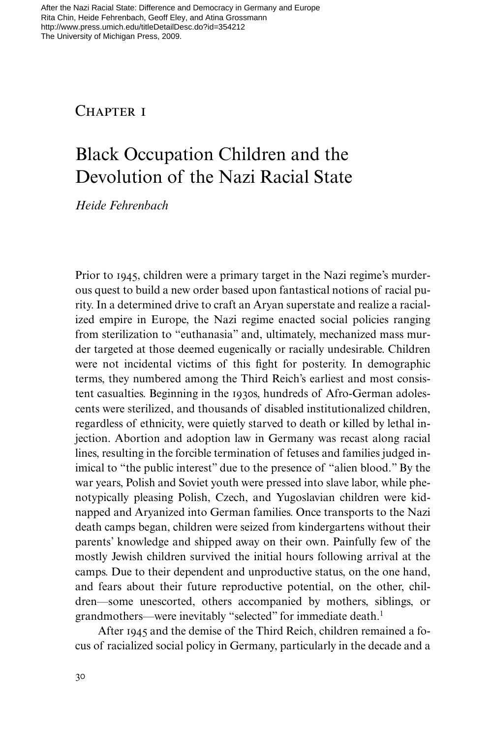$C$ HAPTER I

# Black Occupation Children and the Devolution of the Nazi Racial State

*Heide Fehrenbach*

Prior to 1945, children were a primary target in the Nazi regime's murderous quest to build a new order based upon fantastical notions of racial purity. In a determined drive to craft an Aryan superstate and realize a racialized empire in Europe, the Nazi regime enacted social policies ranging from sterilization to "euthanasia" and, ultimately, mechanized mass murder targeted at those deemed eugenically or racially undesirable. Children were not incidental victims of this fight for posterity. In demographic terms, they numbered among the Third Reich's earliest and most consistent casualties. Beginning in the 1930s, hundreds of Afro-German adolescents were sterilized, and thousands of disabled institutionalized children, regardless of ethnicity, were quietly starved to death or killed by lethal injection. Abortion and adoption law in Germany was recast along racial lines, resulting in the forcible termination of fetuses and families judged inimical to "the public interest" due to the presence of "alien blood." By the war years, Polish and Soviet youth were pressed into slave labor, while phenotypically pleasing Polish, Czech, and Yugoslavian children were kidnapped and Aryanized into German families. Once transports to the Nazi death camps began, children were seized from kindergartens without their parents' knowledge and shipped away on their own. Painfully few of the mostly Jewish children survived the initial hours following arrival at the camps. Due to their dependent and unproductive status, on the one hand, and fears about their future reproductive potential, on the other, children—some unescorted, others accompanied by mothers, siblings, or grandmothers—were inevitably "selected" for immediate death.<sup>1</sup>

After 1945 and the demise of the Third Reich, children remained a focus of racialized social policy in Germany, particularly in the decade and a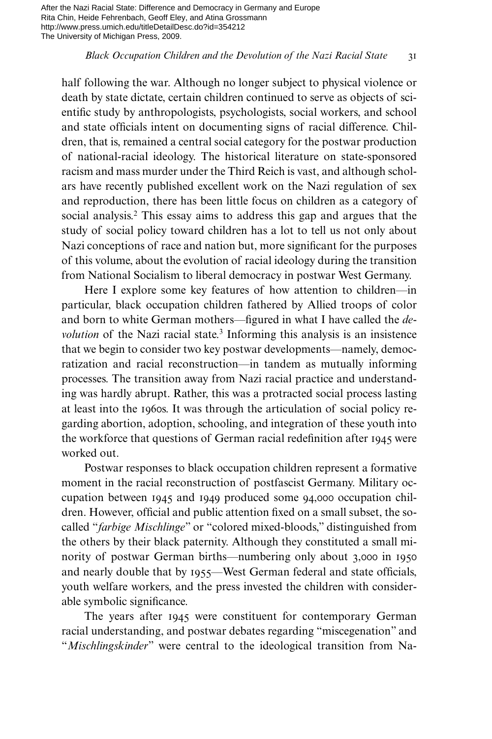half following the war. Although no longer subject to physical violence or death by state dictate, certain children continued to serve as objects of scientific study by anthropologists, psychologists, social workers, and school and state officials intent on documenting signs of racial difference. Children, that is, remained a central social category for the postwar production of national-racial ideology. The historical literature on state-sponsored racism and mass murder under the Third Reich is vast, and although scholars have recently published excellent work on the Nazi regulation of sex and reproduction, there has been little focus on children as a category of social analysis.<sup>2</sup> This essay aims to address this gap and argues that the study of social policy toward children has a lot to tell us not only about Nazi conceptions of race and nation but, more significant for the purposes of this volume, about the evolution of racial ideology during the transition from National Socialism to liberal democracy in postwar West Germany.

Here I explore some key features of how attention to children—in particular, black occupation children fathered by Allied troops of color and born to white German mothers—figured in what I have called the *devolution* of the Nazi racial state.<sup>3</sup> Informing this analysis is an insistence that we begin to consider two key postwar developments—namely, democratization and racial reconstruction—in tandem as mutually informing processes. The transition away from Nazi racial practice and understanding was hardly abrupt. Rather, this was a protracted social process lasting at least into the 1960s. It was through the articulation of social policy regarding abortion, adoption, schooling, and integration of these youth into the workforce that questions of German racial redefinition after 1945 were worked out.

Postwar responses to black occupation children represent a formative moment in the racial reconstruction of postfascist Germany. Military occupation between 1945 and 1949 produced some 94,000 occupation children. However, official and public attention fixed on a small subset, the socalled "*farbige Mischlinge*" or "colored mixed-bloods," distinguished from the others by their black paternity. Although they constituted a small minority of postwar German births—numbering only about 3,000 in 1950 and nearly double that by 1955—West German federal and state officials, youth welfare workers, and the press invested the children with considerable symbolic significance.

The years after 1945 were constituent for contemporary German racial understanding, and postwar debates regarding "miscegenation" and "*Mischlingskinder*" were central to the ideological transition from Na-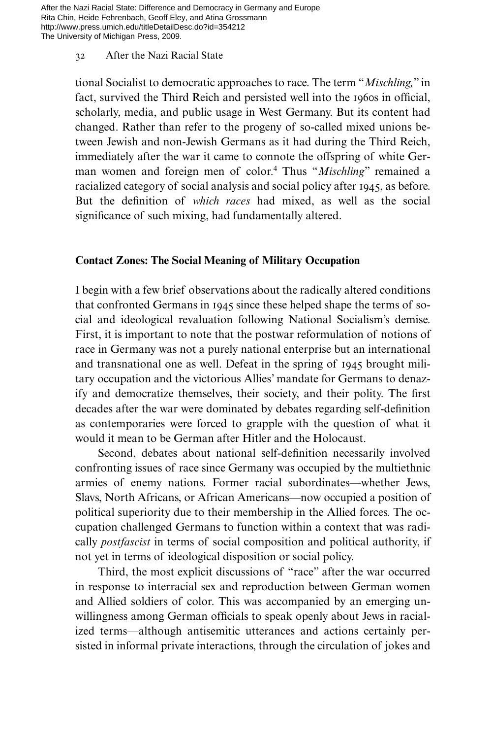#### 32 After the Nazi Racial State

tional Socialist to democratic approaches to race. The term "*Mischling,*" in fact, survived the Third Reich and persisted well into the 1960s in official, scholarly, media, and public usage in West Germany. But its content had changed. Rather than refer to the progeny of so-called mixed unions between Jewish and non-Jewish Germans as it had during the Third Reich, immediately after the war it came to connote the offspring of white German women and foreign men of color.<sup>4</sup> Thus "*Mischling*" remained a racialized category of social analysis and social policy after 1945, as before. But the definition of *which races* had mixed, as well as the social significance of such mixing, had fundamentally altered.

#### **Contact Zones: The Social Meaning of Military Occupation**

I begin with a few brief observations about the radically altered conditions that confronted Germans in 1945 since these helped shape the terms of social and ideological revaluation following National Socialism's demise. First, it is important to note that the postwar reformulation of notions of race in Germany was not a purely national enterprise but an international and transnational one as well. Defeat in the spring of 1945 brought military occupation and the victorious Allies' mandate for Germans to denazify and democratize themselves, their society, and their polity. The first decades after the war were dominated by debates regarding self-definition as contemporaries were forced to grapple with the question of what it would it mean to be German after Hitler and the Holocaust.

Second, debates about national self-definition necessarily involved confronting issues of race since Germany was occupied by the multiethnic armies of enemy nations. Former racial subordinates—whether Jews, Slavs, North Africans, or African Americans—now occupied a position of political superiority due to their membership in the Allied forces. The occupation challenged Germans to function within a context that was radically *postfascist* in terms of social composition and political authority, if not yet in terms of ideological disposition or social policy.

Third, the most explicit discussions of "race" after the war occurred in response to interracial sex and reproduction between German women and Allied soldiers of color. This was accompanied by an emerging unwillingness among German officials to speak openly about Jews in racialized terms—although antisemitic utterances and actions certainly persisted in informal private interactions, through the circulation of jokes and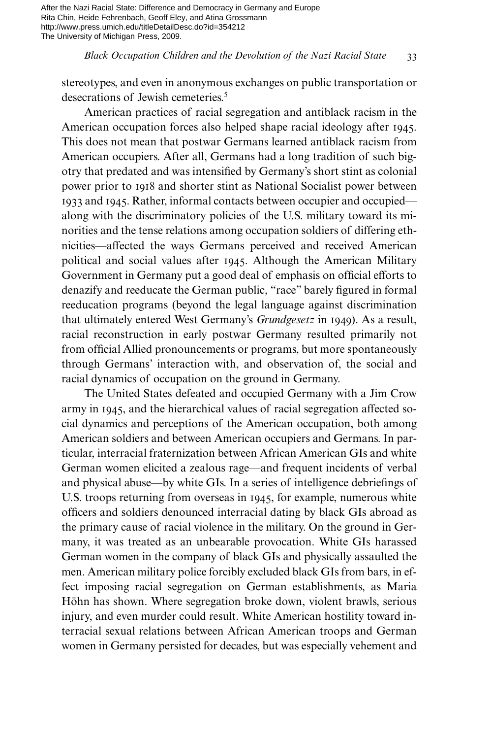stereotypes, and even in anonymous exchanges on public transportation or desecrations of Jewish cemeteries.<sup>5</sup>

American practices of racial segregation and antiblack racism in the American occupation forces also helped shape racial ideology after 1945. This does not mean that postwar Germans learned antiblack racism from American occupiers. After all, Germans had a long tradition of such bigotry that predated and was intensified by Germany's short stint as colonial power prior to 1918 and shorter stint as National Socialist power between 1933 and 1945. Rather, informal contacts between occupier and occupied along with the discriminatory policies of the U.S. military toward its minorities and the tense relations among occupation soldiers of differing ethnicities—affected the ways Germans perceived and received American political and social values after 1945. Although the American Military Government in Germany put a good deal of emphasis on official efforts to denazify and reeducate the German public, "race" barely figured in formal reeducation programs (beyond the legal language against discrimination that ultimately entered West Germany's *Grundgesetz* in 1949). As a result, racial reconstruction in early postwar Germany resulted primarily not from official Allied pronouncements or programs, but more spontaneously through Germans' interaction with, and observation of, the social and racial dynamics of occupation on the ground in Germany.

The United States defeated and occupied Germany with a Jim Crow army in 1945, and the hierarchical values of racial segregation affected social dynamics and perceptions of the American occupation, both among American soldiers and between American occupiers and Germans. In particular, interracial fraternization between African American GIs and white German women elicited a zealous rage—and frequent incidents of verbal and physical abuse—by white GIs. In a series of intelligence debriefings of U.S. troops returning from overseas in 1945, for example, numerous white officers and soldiers denounced interracial dating by black GIs abroad as the primary cause of racial violence in the military. On the ground in Germany, it was treated as an unbearable provocation. White GIs harassed German women in the company of black GIs and physically assaulted the men. American military police forcibly excluded black GIs from bars, in effect imposing racial segregation on German establishments, as Maria Höhn has shown. Where segregation broke down, violent brawls, serious injury, and even murder could result. White American hostility toward interracial sexual relations between African American troops and German women in Germany persisted for decades, but was especially vehement and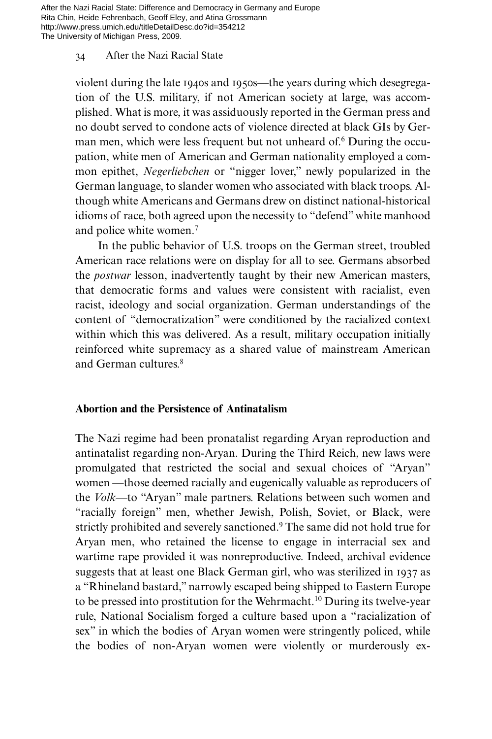#### 34 After the Nazi Racial State

violent during the late 1940s and 1950s—the years during which desegregation of the U.S. military, if not American society at large, was accomplished. What is more, it was assiduously reported in the German press and no doubt served to condone acts of violence directed at black GIs by German men, which were less frequent but not unheard of.<sup>6</sup> During the occupation, white men of American and German nationality employed a common epithet, *Negerliebchen* or "nigger lover," newly popularized in the German language, to slander women who associated with black troops. Although white Americans and Germans drew on distinct national-historical idioms of race, both agreed upon the necessity to "defend" white manhood and police white women.<sup>7</sup>

In the public behavior of U.S. troops on the German street, troubled American race relations were on display for all to see. Germans absorbed the *postwar* lesson, inadvertently taught by their new American masters, that democratic forms and values were consistent with racialist, even racist, ideology and social organization. German understandings of the content of "democratization" were conditioned by the racialized context within which this was delivered. As a result, military occupation initially reinforced white supremacy as a shared value of mainstream American and German cultures.<sup>8</sup>

## **Abortion and the Persistence of Antinatalism**

The Nazi regime had been pronatalist regarding Aryan reproduction and antinatalist regarding non-Aryan. During the Third Reich, new laws were promulgated that restricted the social and sexual choices of "Aryan" women —those deemed racially and eugenically valuable as reproducers of the *Volk*—to "Aryan" male partners. Relations between such women and "racially foreign" men, whether Jewish, Polish, Soviet, or Black, were strictly prohibited and severely sanctioned.<sup>9</sup> The same did not hold true for Aryan men, who retained the license to engage in interracial sex and wartime rape provided it was nonreproductive. Indeed, archival evidence suggests that at least one Black German girl, who was sterilized in 1937 as a "Rhineland bastard," narrowly escaped being shipped to Eastern Europe to be pressed into prostitution for the Wehrmacht.<sup>10</sup> During its twelve-year rule, National Socialism forged a culture based upon a "racialization of sex" in which the bodies of Aryan women were stringently policed, while the bodies of non-Aryan women were violently or murderously ex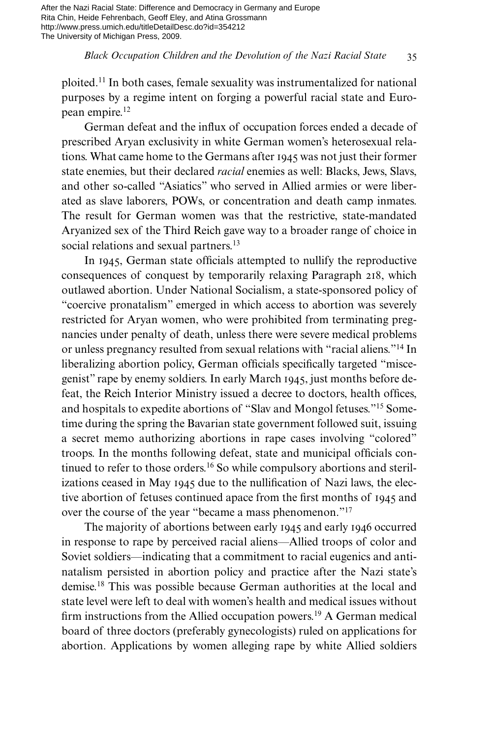ploited.<sup>11</sup> In both cases, female sexuality was instrumentalized for national purposes by a regime intent on forging a powerful racial state and European empire.<sup>12</sup>

German defeat and the influx of occupation forces ended a decade of prescribed Aryan exclusivity in white German women's heterosexual relations. What came home to the Germans after 1945 was not just their former state enemies, but their declared *racial* enemies as well: Blacks, Jews, Slavs, and other so-called "Asiatics" who served in Allied armies or were liberated as slave laborers, POWs, or concentration and death camp inmates. The result for German women was that the restrictive, state-mandated Aryanized sex of the Third Reich gave way to a broader range of choice in social relations and sexual partners.<sup>13</sup>

In 1945, German state officials attempted to nullify the reproductive consequences of conquest by temporarily relaxing Paragraph 218, which outlawed abortion. Under National Socialism, a state-sponsored policy of "coercive pronatalism" emerged in which access to abortion was severely restricted for Aryan women, who were prohibited from terminating pregnancies under penalty of death, unless there were severe medical problems or unless pregnancy resulted from sexual relations with "racial aliens."<sup>14</sup> In liberalizing abortion policy, German officials specifically targeted "miscegenist" rape by enemy soldiers. In early March 1945, just months before defeat, the Reich Interior Ministry issued a decree to doctors, health offices, and hospitals to expedite abortions of "Slav and Mongol fetuses."<sup>15</sup> Sometime during the spring the Bavarian state government followed suit, issuing a secret memo authorizing abortions in rape cases involving "colored" troops. In the months following defeat, state and municipal officials continued to refer to those orders.<sup>16</sup> So while compulsory abortions and sterilizations ceased in May  $1945$  due to the nullification of Nazi laws, the elective abortion of fetuses continued apace from the first months of 1945 and over the course of the year "became a mass phenomenon."<sup>17</sup>

The majority of abortions between early 1945 and early 1946 occurred in response to rape by perceived racial aliens—Allied troops of color and Soviet soldiers—indicating that a commitment to racial eugenics and antinatalism persisted in abortion policy and practice after the Nazi state's demise.<sup>18</sup> This was possible because German authorities at the local and state level were left to deal with women's health and medical issues without firm instructions from the Allied occupation powers.<sup>19</sup> A German medical board of three doctors (preferably gynecologists) ruled on applications for abortion. Applications by women alleging rape by white Allied soldiers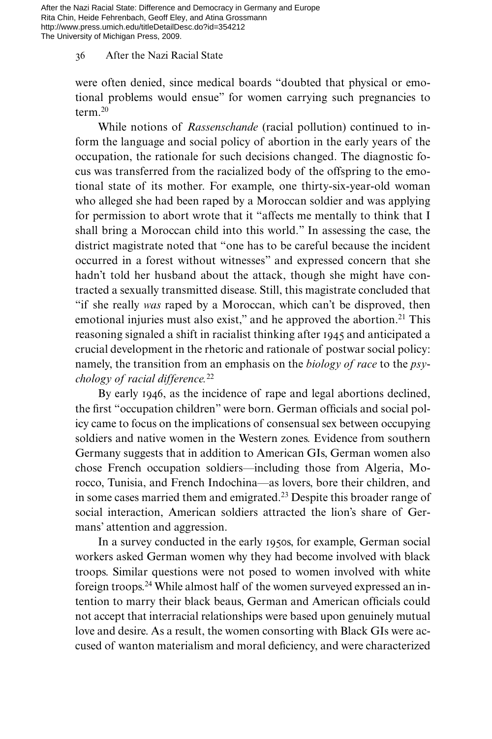36 After the Nazi Racial State

were often denied, since medical boards "doubted that physical or emotional problems would ensue" for women carrying such pregnancies to term $20$ 

While notions of *Rassenschande* (racial pollution) continued to inform the language and social policy of abortion in the early years of the occupation, the rationale for such decisions changed. The diagnostic focus was transferred from the racialized body of the offspring to the emotional state of its mother. For example, one thirty-six-year-old woman who alleged she had been raped by a Moroccan soldier and was applying for permission to abort wrote that it "affects me mentally to think that I shall bring a Moroccan child into this world." In assessing the case, the district magistrate noted that "one has to be careful because the incident occurred in a forest without witnesses" and expressed concern that she hadn't told her husband about the attack, though she might have contracted a sexually transmitted disease. Still, this magistrate concluded that "if she really *was* raped by a Moroccan, which can't be disproved, then emotional injuries must also exist," and he approved the abortion.<sup>21</sup> This reasoning signaled a shift in racialist thinking after 1945 and anticipated a crucial development in the rhetoric and rationale of postwar social policy: namely, the transition from an emphasis on the *biology of race* to the *psychology of racial difference.*<sup>22</sup>

By early 1946, as the incidence of rape and legal abortions declined, the first "occupation children" were born. German officials and social policy came to focus on the implications of consensual sex between occupying soldiers and native women in the Western zones. Evidence from southern Germany suggests that in addition to American GIs, German women also chose French occupation soldiers—including those from Algeria, Morocco, Tunisia, and French Indochina—as lovers, bore their children, and in some cases married them and emigrated.<sup>23</sup> Despite this broader range of social interaction, American soldiers attracted the lion's share of Germans' attention and aggression.

In a survey conducted in the early 1950s, for example, German social workers asked German women why they had become involved with black troops. Similar questions were not posed to women involved with white foreign troops.<sup>24</sup> While almost half of the women surveyed expressed an intention to marry their black beaus, German and American officials could not accept that interracial relationships were based upon genuinely mutual love and desire. As a result, the women consorting with Black GIs were accused of wanton materialism and moral deficiency, and were characterized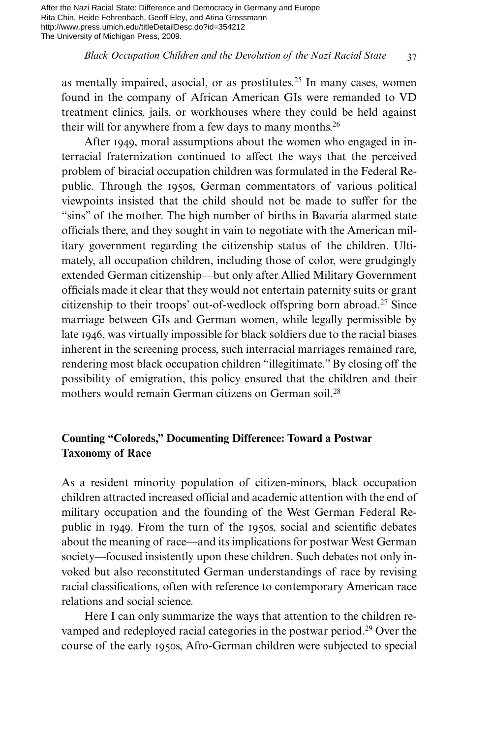as mentally impaired, asocial, or as prostitutes.<sup>25</sup> In many cases, women found in the company of African American GIs were remanded to VD treatment clinics, jails, or workhouses where they could be held against their will for anywhere from a few days to many months.<sup>26</sup>

After 1949, moral assumptions about the women who engaged in interracial fraternization continued to affect the ways that the perceived problem of biracial occupation children was formulated in the Federal Republic. Through the 1950s, German commentators of various political viewpoints insisted that the child should not be made to suffer for the "sins" of the mother. The high number of births in Bavaria alarmed state officials there, and they sought in vain to negotiate with the American military government regarding the citizenship status of the children. Ultimately, all occupation children, including those of color, were grudgingly extended German citizenship—but only after Allied Military Government officials made it clear that they would not entertain paternity suits or grant citizenship to their troops' out-of-wedlock offspring born abroad.<sup>27</sup> Since marriage between GIs and German women, while legally permissible by late 1946, was virtually impossible for black soldiers due to the racial biases inherent in the screening process, such interracial marriages remained rare, rendering most black occupation children "illegitimate." By closing off the possibility of emigration, this policy ensured that the children and their mothers would remain German citizens on German soil.<sup>28</sup>

# **Counting "Coloreds," Documenting Difference: Toward a Postwar Taxonomy of Race**

As a resident minority population of citizen-minors, black occupation children attracted increased official and academic attention with the end of military occupation and the founding of the West German Federal Republic in 1949. From the turn of the 1950s, social and scientific debates about the meaning of race—and its implications for postwar West German society—focused insistently upon these children. Such debates not only invoked but also reconstituted German understandings of race by revising racial classifications, often with reference to contemporary American race relations and social science.

Here I can only summarize the ways that attention to the children revamped and redeployed racial categories in the postwar period.<sup>29</sup> Over the course of the early 1950s, Afro-German children were subjected to special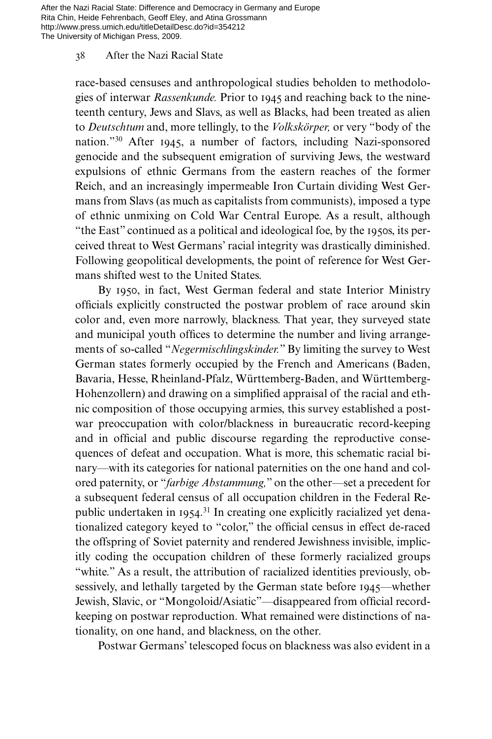#### 38 After the Nazi Racial State

race-based censuses and anthropological studies beholden to methodologies of interwar *Rassenkunde.* Prior to 1945 and reaching back to the nineteenth century, Jews and Slavs, as well as Blacks, had been treated as alien to *Deutschtum* and, more tellingly, to the *Volkskörper,* or very "body of the nation."<sup>30</sup> After 1945, a number of factors, including Nazi-sponsored genocide and the subsequent emigration of surviving Jews, the westward expulsions of ethnic Germans from the eastern reaches of the former Reich, and an increasingly impermeable Iron Curtain dividing West Germans from Slavs (as much as capitalists from communists), imposed a type of ethnic unmixing on Cold War Central Europe. As a result, although "the East" continued as a political and ideological foe, by the 1950s, its perceived threat to West Germans' racial integrity was drastically diminished. Following geopolitical developments, the point of reference for West Germans shifted west to the United States.

By 1950, in fact, West German federal and state Interior Ministry officials explicitly constructed the postwar problem of race around skin color and, even more narrowly, blackness. That year, they surveyed state and municipal youth offices to determine the number and living arrangements of so-called "*Negermischlingskinder.*" By limiting the survey to West German states formerly occupied by the French and Americans (Baden, Bavaria, Hesse, Rheinland-Pfalz, Württemberg-Baden, and Württemberg-Hohenzollern) and drawing on a simplified appraisal of the racial and ethnic composition of those occupying armies, this survey established a postwar preoccupation with color/blackness in bureaucratic record-keeping and in official and public discourse regarding the reproductive consequences of defeat and occupation. What is more, this schematic racial binary—with its categories for national paternities on the one hand and colored paternity, or "*farbige Abstammung,*" on the other—set a precedent for a subsequent federal census of all occupation children in the Federal Republic undertaken in  $1954$ <sup>31</sup> In creating one explicitly racialized yet denationalized category keyed to "color," the official census in effect de-raced the offspring of Soviet paternity and rendered Jewishness invisible, implicitly coding the occupation children of these formerly racialized groups "white." As a result, the attribution of racialized identities previously, obsessively, and lethally targeted by the German state before 1945—whether Jewish, Slavic, or "Mongoloid/Asiatic"—disappeared from official recordkeeping on postwar reproduction. What remained were distinctions of nationality, on one hand, and blackness, on the other.

Postwar Germans' telescoped focus on blackness was also evident in a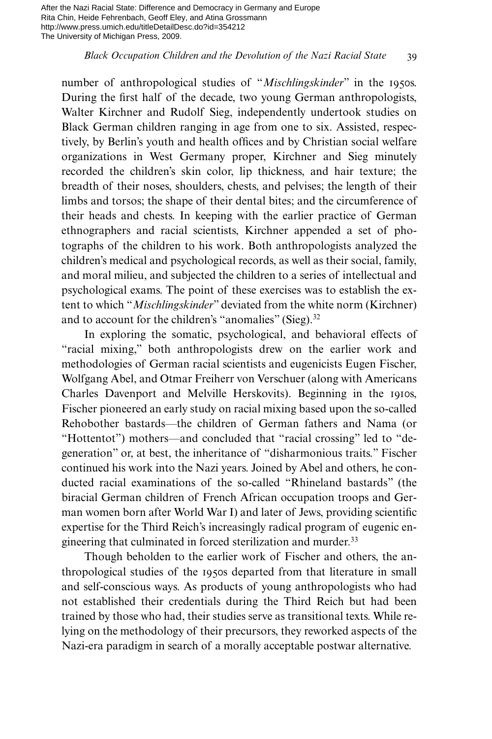number of anthropological studies of "*Mischlingskinder*" in the 1950s. During the first half of the decade, two young German anthropologists, Walter Kirchner and Rudolf Sieg, independently undertook studies on Black German children ranging in age from one to six. Assisted, respectively, by Berlin's youth and health offices and by Christian social welfare organizations in West Germany proper, Kirchner and Sieg minutely recorded the children's skin color, lip thickness, and hair texture; the breadth of their noses, shoulders, chests, and pelvises; the length of their limbs and torsos; the shape of their dental bites; and the circumference of their heads and chests. In keeping with the earlier practice of German ethnographers and racial scientists, Kirchner appended a set of photographs of the children to his work. Both anthropologists analyzed the children's medical and psychological records, as well as their social, family, and moral milieu, and subjected the children to a series of intellectual and psychological exams. The point of these exercises was to establish the extent to which "*Mischlingskinder*" deviated from the white norm (Kirchner) and to account for the children's "anomalies" (Sieg).<sup>32</sup>

In exploring the somatic, psychological, and behavioral effects of "racial mixing," both anthropologists drew on the earlier work and methodologies of German racial scientists and eugenicists Eugen Fischer, Wolfgang Abel, and Otmar Freiherr von Verschuer (along with Americans Charles Davenport and Melville Herskovits). Beginning in the 1910s, Fischer pioneered an early study on racial mixing based upon the so-called Rehobother bastards—the children of German fathers and Nama (or "Hottentot") mothers—and concluded that "racial crossing" led to "degeneration" or, at best, the inheritance of "disharmonious traits." Fischer continued his work into the Nazi years. Joined by Abel and others, he conducted racial examinations of the so-called "Rhineland bastards" (the biracial German children of French African occupation troops and German women born after World War I) and later of Jews, providing scientific expertise for the Third Reich's increasingly radical program of eugenic engineering that culminated in forced sterilization and murder.<sup>33</sup>

Though beholden to the earlier work of Fischer and others, the anthropological studies of the 1950s departed from that literature in small and self-conscious ways. As products of young anthropologists who had not established their credentials during the Third Reich but had been trained by those who had, their studies serve as transitional texts. While relying on the methodology of their precursors, they reworked aspects of the Nazi-era paradigm in search of a morally acceptable postwar alternative.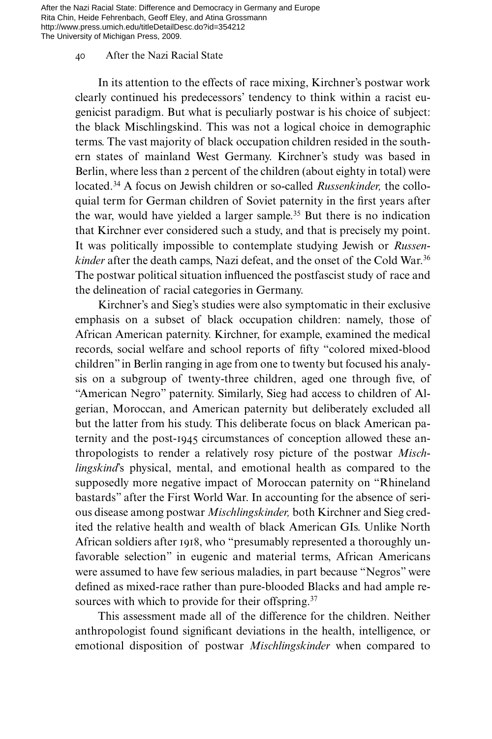#### 40 After the Nazi Racial State

In its attention to the effects of race mixing, Kirchner's postwar work clearly continued his predecessors' tendency to think within a racist eugenicist paradigm. But what is peculiarly postwar is his choice of subject: the black Mischlingskind. This was not a logical choice in demographic terms. The vast majority of black occupation children resided in the southern states of mainland West Germany. Kirchner's study was based in Berlin, where less than 2 percent of the children (about eighty in total) were located.<sup>34</sup> A focus on Jewish children or so-called *Russenkinder,* the colloquial term for German children of Soviet paternity in the first years after the war, would have yielded a larger sample.<sup>35</sup> But there is no indication that Kirchner ever considered such a study, and that is precisely my point. It was politically impossible to contemplate studying Jewish or *Russenkinder* after the death camps, Nazi defeat, and the onset of the Cold War.<sup>36</sup> The postwar political situation influenced the postfascist study of race and the delineation of racial categories in Germany.

Kirchner's and Sieg's studies were also symptomatic in their exclusive emphasis on a subset of black occupation children: namely, those of African American paternity. Kirchner, for example, examined the medical records, social welfare and school reports of fifty "colored mixed-blood children" in Berlin ranging in age from one to twenty but focused his analysis on a subgroup of twenty-three children, aged one through five, of "American Negro" paternity. Similarly, Sieg had access to children of Algerian, Moroccan, and American paternity but deliberately excluded all but the latter from his study. This deliberate focus on black American paternity and the post-1945 circumstances of conception allowed these anthropologists to render a relatively rosy picture of the postwar *Mischlingskind*'s physical, mental, and emotional health as compared to the supposedly more negative impact of Moroccan paternity on "Rhineland bastards" after the First World War. In accounting for the absence of serious disease among postwar *Mischlingskinder,* both Kirchner and Sieg credited the relative health and wealth of black American GIs. Unlike North African soldiers after 1918, who "presumably represented a thoroughly unfavorable selection" in eugenic and material terms, African Americans were assumed to have few serious maladies, in part because "Negros" were defined as mixed-race rather than pure-blooded Blacks and had ample resources with which to provide for their offspring.<sup>37</sup>

This assessment made all of the difference for the children. Neither anthropologist found significant deviations in the health, intelligence, or emotional disposition of postwar *Mischlingskinder* when compared to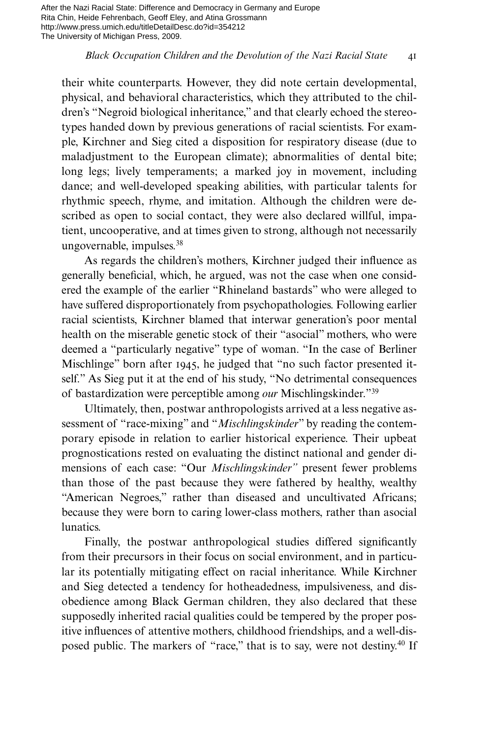their white counterparts. However, they did note certain developmental, physical, and behavioral characteristics, which they attributed to the children's "Negroid biological inheritance," and that clearly echoed the stereotypes handed down by previous generations of racial scientists. For example, Kirchner and Sieg cited a disposition for respiratory disease (due to maladjustment to the European climate); abnormalities of dental bite; long legs; lively temperaments; a marked joy in movement, including dance; and well-developed speaking abilities, with particular talents for rhythmic speech, rhyme, and imitation. Although the children were described as open to social contact, they were also declared willful, impatient, uncooperative, and at times given to strong, although not necessarily ungovernable, impulses.<sup>38</sup>

As regards the children's mothers, Kirchner judged their influence as generally beneficial, which, he argued, was not the case when one considered the example of the earlier "Rhineland bastards" who were alleged to have suffered disproportionately from psychopathologies. Following earlier racial scientists, Kirchner blamed that interwar generation's poor mental health on the miserable genetic stock of their "asocial" mothers, who were deemed a "particularly negative" type of woman. "In the case of Berliner Mischlinge" born after 1945, he judged that "no such factor presented itself." As Sieg put it at the end of his study, "No detrimental consequences of bastardization were perceptible among *our* Mischlingskinder."<sup>39</sup>

Ultimately, then, postwar anthropologists arrived at a less negative assessment of "race-mixing" and "*Mischlingskinder*" by reading the contemporary episode in relation to earlier historical experience. Their upbeat prognostications rested on evaluating the distinct national and gender dimensions of each case: "Our *Mischlingskinder"* present fewer problems than those of the past because they were fathered by healthy, wealthy "American Negroes," rather than diseased and uncultivated Africans; because they were born to caring lower-class mothers, rather than asocial lunatics.

Finally, the postwar anthropological studies differed significantly from their precursors in their focus on social environment, and in particular its potentially mitigating effect on racial inheritance. While Kirchner and Sieg detected a tendency for hotheadedness, impulsiveness, and disobedience among Black German children, they also declared that these supposedly inherited racial qualities could be tempered by the proper positive influences of attentive mothers, childhood friendships, and a well-disposed public. The markers of "race," that is to say, were not destiny.<sup>40</sup> If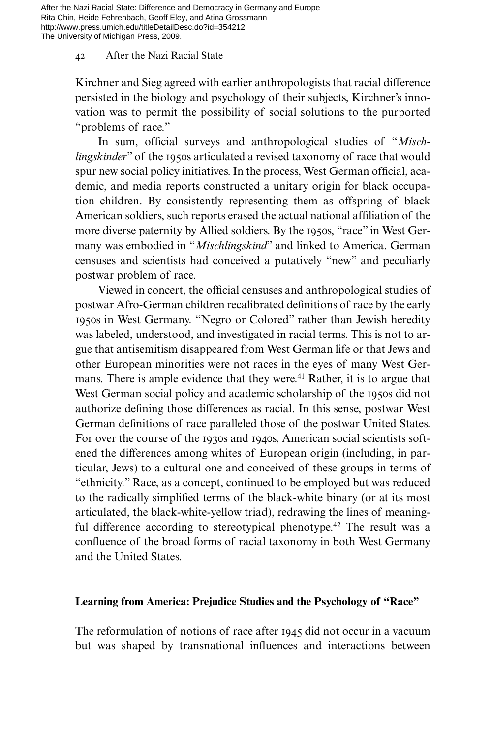#### 42 After the Nazi Racial State

Kirchner and Sieg agreed with earlier anthropologists that racial difference persisted in the biology and psychology of their subjects, Kirchner's innovation was to permit the possibility of social solutions to the purported "problems of race."

In sum, official surveys and anthropological studies of "*Mischlingskinder*" of the 1950s articulated a revised taxonomy of race that would spur new social policy initiatives. In the process, West German official, academic, and media reports constructed a unitary origin for black occupation children. By consistently representing them as offspring of black American soldiers, such reports erased the actual national affiliation of the more diverse paternity by Allied soldiers. By the 1950s, "race" in West Germany was embodied in "*Mischlingskind*" and linked to America. German censuses and scientists had conceived a putatively "new" and peculiarly postwar problem of race.

Viewed in concert, the official censuses and anthropological studies of postwar Afro-German children recalibrated definitions of race by the early 1950s in West Germany. "Negro or Colored" rather than Jewish heredity was labeled, understood, and investigated in racial terms. This is not to argue that antisemitism disappeared from West German life or that Jews and other European minorities were not races in the eyes of many West Germans. There is ample evidence that they were.<sup>41</sup> Rather, it is to argue that West German social policy and academic scholarship of the 1950s did not authorize defining those differences as racial. In this sense, postwar West German definitions of race paralleled those of the postwar United States. For over the course of the 1930s and 1940s, American social scientists softened the differences among whites of European origin (including, in particular, Jews) to a cultural one and conceived of these groups in terms of "ethnicity." Race, as a concept, continued to be employed but was reduced to the radically simplified terms of the black-white binary (or at its most articulated, the black-white-yellow triad), redrawing the lines of meaningful difference according to stereotypical phenotype.<sup>42</sup> The result was a confluence of the broad forms of racial taxonomy in both West Germany and the United States.

## **Learning from America: Prejudice Studies and the Psychology of "Race"**

The reformulation of notions of race after 1945 did not occur in a vacuum but was shaped by transnational influences and interactions between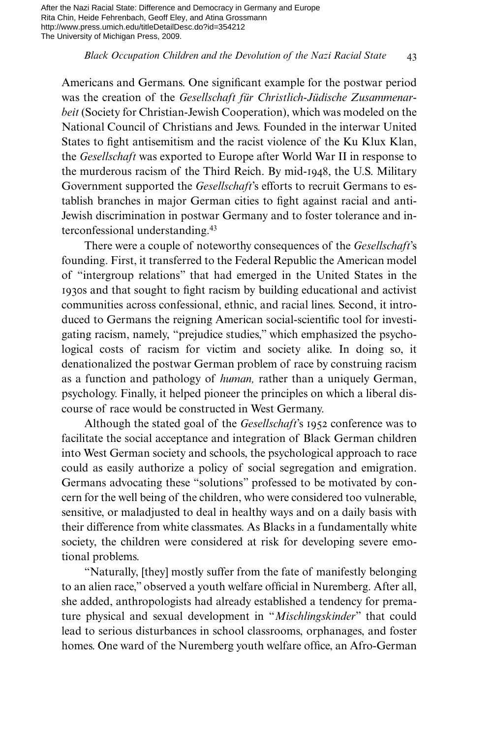Americans and Germans. One significant example for the postwar period was the creation of the *Gesellschaft für Christlich-Jüdische Zusammenarbeit* (Society for Christian-Jewish Cooperation), which was modeled on the National Council of Christians and Jews. Founded in the interwar United States to fight antisemitism and the racist violence of the Ku Klux Klan, the *Gesellschaft* was exported to Europe after World War II in response to the murderous racism of the Third Reich. By mid-1948, the U.S. Military Government supported the *Gesellschaft*'s efforts to recruit Germans to establish branches in major German cities to fight against racial and anti-Jewish discrimination in postwar Germany and to foster tolerance and interconfessional understanding.<sup>43</sup>

There were a couple of noteworthy consequences of the *Gesellschaft*'s founding. First, it transferred to the Federal Republic the American model of "intergroup relations" that had emerged in the United States in the 1930s and that sought to fight racism by building educational and activist communities across confessional, ethnic, and racial lines. Second, it introduced to Germans the reigning American social-scientific tool for investigating racism, namely, "prejudice studies," which emphasized the psychological costs of racism for victim and society alike. In doing so, it denationalized the postwar German problem of race by construing racism as a function and pathology of *human,* rather than a uniquely German, psychology. Finally, it helped pioneer the principles on which a liberal discourse of race would be constructed in West Germany.

Although the stated goal of the *Gesellschaft*'s 1952 conference was to facilitate the social acceptance and integration of Black German children into West German society and schools, the psychological approach to race could as easily authorize a policy of social segregation and emigration. Germans advocating these "solutions" professed to be motivated by concern for the well being of the children, who were considered too vulnerable, sensitive, or maladjusted to deal in healthy ways and on a daily basis with their difference from white classmates. As Blacks in a fundamentally white society, the children were considered at risk for developing severe emotional problems.

"Naturally, [they] mostly suffer from the fate of manifestly belonging to an alien race," observed a youth welfare official in Nuremberg. After all, she added, anthropologists had already established a tendency for premature physical and sexual development in "*Mischlingskinder*" that could lead to serious disturbances in school classrooms, orphanages, and foster homes. One ward of the Nuremberg youth welfare office, an Afro-German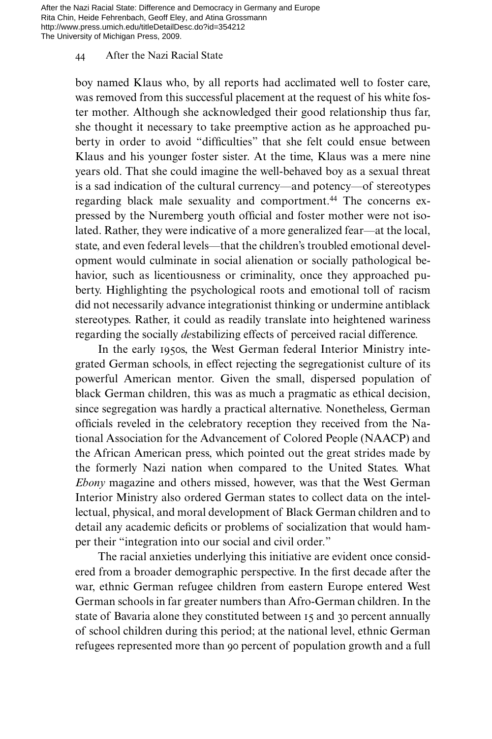## 44 After the Nazi Racial State

boy named Klaus who, by all reports had acclimated well to foster care, was removed from this successful placement at the request of his white foster mother. Although she acknowledged their good relationship thus far, she thought it necessary to take preemptive action as he approached puberty in order to avoid "difficulties" that she felt could ensue between Klaus and his younger foster sister. At the time, Klaus was a mere nine years old. That she could imagine the well-behaved boy as a sexual threat is a sad indication of the cultural currency—and potency—of stereotypes regarding black male sexuality and comportment.<sup>44</sup> The concerns expressed by the Nuremberg youth official and foster mother were not isolated. Rather, they were indicative of a more generalized fear—at the local, state, and even federal levels—that the children's troubled emotional development would culminate in social alienation or socially pathological behavior, such as licentiousness or criminality, once they approached puberty. Highlighting the psychological roots and emotional toll of racism did not necessarily advance integrationist thinking or undermine antiblack stereotypes. Rather, it could as readily translate into heightened wariness regarding the socially *de*stabilizing effects of perceived racial difference.

In the early 1950s, the West German federal Interior Ministry integrated German schools, in effect rejecting the segregationist culture of its powerful American mentor. Given the small, dispersed population of black German children, this was as much a pragmatic as ethical decision, since segregation was hardly a practical alternative. Nonetheless, German officials reveled in the celebratory reception they received from the National Association for the Advancement of Colored People (NAACP) and the African American press, which pointed out the great strides made by the formerly Nazi nation when compared to the United States. What *Ebony* magazine and others missed, however, was that the West German Interior Ministry also ordered German states to collect data on the intellectual, physical, and moral development of Black German children and to detail any academic deficits or problems of socialization that would hamper their "integration into our social and civil order."

The racial anxieties underlying this initiative are evident once considered from a broader demographic perspective. In the first decade after the war, ethnic German refugee children from eastern Europe entered West German schools in far greater numbers than Afro-German children. In the state of Bavaria alone they constituted between 15 and 30 percent annually of school children during this period; at the national level, ethnic German refugees represented more than 90 percent of population growth and a full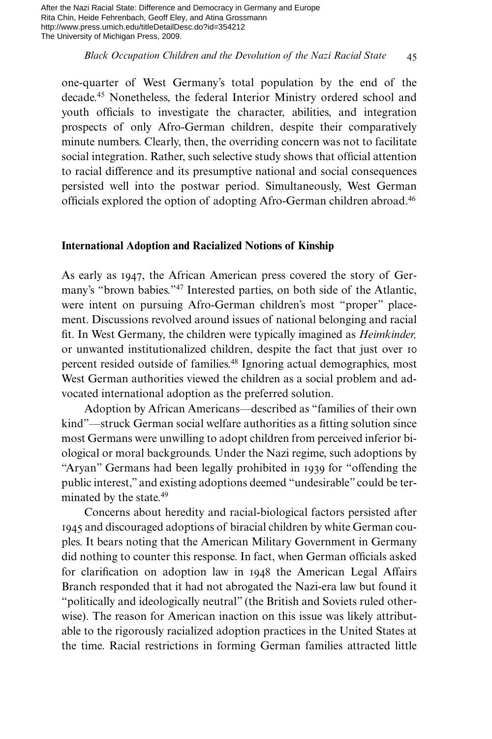one-quarter of West Germany's total population by the end of the decade.<sup>45</sup> Nonetheless, the federal Interior Ministry ordered school and youth officials to investigate the character, abilities, and integration prospects of only Afro-German children, despite their comparatively minute numbers. Clearly, then, the overriding concern was not to facilitate social integration. Rather, such selective study shows that official attention to racial difference and its presumptive national and social consequences persisted well into the postwar period. Simultaneously, West German officials explored the option of adopting Afro-German children abroad.<sup>46</sup>

#### **International Adoption and Racialized Notions of Kinship**

As early as 1947, the African American press covered the story of Germany's "brown babies."<sup>47</sup> Interested parties, on both side of the Atlantic, were intent on pursuing Afro-German children's most "proper" placement. Discussions revolved around issues of national belonging and racial fit. In West Germany, the children were typically imagined as *Heimkinder*, or unwanted institutionalized children, despite the fact that just over 10 percent resided outside of families.<sup>48</sup> Ignoring actual demographics, most West German authorities viewed the children as a social problem and advocated international adoption as the preferred solution.

Adoption by African Americans—described as "families of their own kind"—struck German social welfare authorities as a fitting solution since most Germans were unwilling to adopt children from perceived inferior biological or moral backgrounds. Under the Nazi regime, such adoptions by "Aryan" Germans had been legally prohibited in 1939 for "offending the public interest," and existing adoptions deemed "undesirable" could be terminated by the state.<sup>49</sup>

Concerns about heredity and racial-biological factors persisted after 1945 and discouraged adoptions of biracial children by white German couples. It bears noting that the American Military Government in Germany did nothing to counter this response. In fact, when German officials asked for clarification on adoption law in 1948 the American Legal Affairs Branch responded that it had not abrogated the Nazi-era law but found it "politically and ideologically neutral" (the British and Soviets ruled otherwise). The reason for American inaction on this issue was likely attributable to the rigorously racialized adoption practices in the United States at the time. Racial restrictions in forming German families attracted little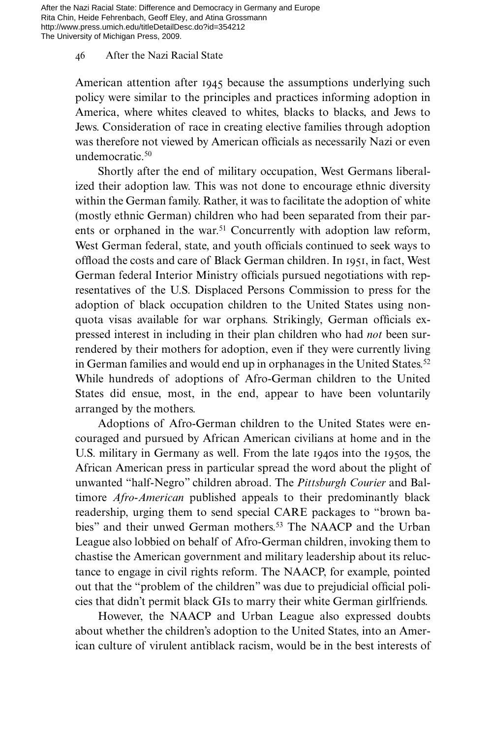#### 46 After the Nazi Racial State

American attention after 1945 because the assumptions underlying such policy were similar to the principles and practices informing adoption in America, where whites cleaved to whites, blacks to blacks, and Jews to Jews. Consideration of race in creating elective families through adoption was therefore not viewed by American officials as necessarily Nazi or even undemocratic.<sup>50</sup>

Shortly after the end of military occupation, West Germans liberalized their adoption law. This was not done to encourage ethnic diversity within the German family. Rather, it was to facilitate the adoption of white (mostly ethnic German) children who had been separated from their parents or orphaned in the war.<sup>51</sup> Concurrently with adoption law reform, West German federal, state, and youth officials continued to seek ways to offload the costs and care of Black German children. In 1951, in fact, West German federal Interior Ministry officials pursued negotiations with representatives of the U.S. Displaced Persons Commission to press for the adoption of black occupation children to the United States using nonquota visas available for war orphans. Strikingly, German officials expressed interest in including in their plan children who had *not* been surrendered by their mothers for adoption, even if they were currently living in German families and would end up in orphanages in the United States.<sup>52</sup> While hundreds of adoptions of Afro-German children to the United States did ensue, most, in the end, appear to have been voluntarily arranged by the mothers.

Adoptions of Afro-German children to the United States were encouraged and pursued by African American civilians at home and in the U.S. military in Germany as well. From the late 1940s into the 1950s, the African American press in particular spread the word about the plight of unwanted "half-Negro" children abroad. The *Pittsburgh Courier* and Baltimore *Afro*-*American* published appeals to their predominantly black readership, urging them to send special CARE packages to "brown babies" and their unwed German mothers.<sup>53</sup> The NAACP and the Urban League also lobbied on behalf of Afro-German children, invoking them to chastise the American government and military leadership about its reluctance to engage in civil rights reform. The NAACP, for example, pointed out that the "problem of the children" was due to prejudicial official policies that didn't permit black GIs to marry their white German girlfriends.

However, the NAACP and Urban League also expressed doubts about whether the children's adoption to the United States, into an American culture of virulent antiblack racism, would be in the best interests of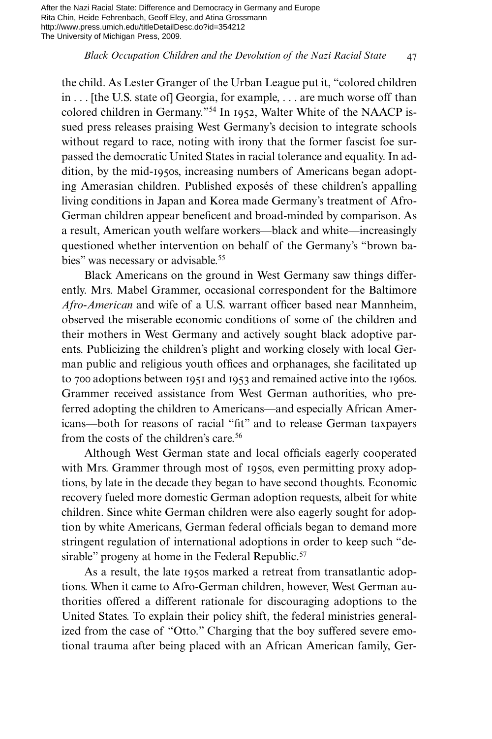#### *Black Occupation Children and the Devolution of the Nazi Racial State* 47

the child. As Lester Granger of the Urban League put it, "colored children in . . . [the U.S. state of] Georgia, for example, . . . are much worse off than colored children in Germany."<sup>54</sup> In 1952, Walter White of the NAACP issued press releases praising West Germany's decision to integrate schools without regard to race, noting with irony that the former fascist foe surpassed the democratic United States in racial tolerance and equality. In addition, by the mid-1950s, increasing numbers of Americans began adopting Amerasian children. Published exposés of these children's appalling living conditions in Japan and Korea made Germany's treatment of Afro-German children appear beneficent and broad-minded by comparison. As a result, American youth welfare workers—black and white—increasingly questioned whether intervention on behalf of the Germany's "brown babies" was necessary or advisable.<sup>55</sup>

Black Americans on the ground in West Germany saw things differently. Mrs. Mabel Grammer, occasional correspondent for the Baltimore *Afro-American* and wife of a U.S. warrant officer based near Mannheim, observed the miserable economic conditions of some of the children and their mothers in West Germany and actively sought black adoptive parents. Publicizing the children's plight and working closely with local German public and religious youth offices and orphanages, she facilitated up to 700 adoptions between 1951 and 1953 and remained active into the 1960s. Grammer received assistance from West German authorities, who preferred adopting the children to Americans—and especially African Americans—both for reasons of racial "fit" and to release German taxpayers from the costs of the children's care.<sup>56</sup>

Although West German state and local officials eagerly cooperated with Mrs. Grammer through most of 1950s, even permitting proxy adoptions, by late in the decade they began to have second thoughts. Economic recovery fueled more domestic German adoption requests, albeit for white children. Since white German children were also eagerly sought for adoption by white Americans, German federal officials began to demand more stringent regulation of international adoptions in order to keep such "desirable" progeny at home in the Federal Republic.<sup>57</sup>

As a result, the late 1950s marked a retreat from transatlantic adoptions. When it came to Afro-German children, however, West German authorities offered a different rationale for discouraging adoptions to the United States. To explain their policy shift, the federal ministries generalized from the case of "Otto." Charging that the boy suffered severe emotional trauma after being placed with an African American family, Ger-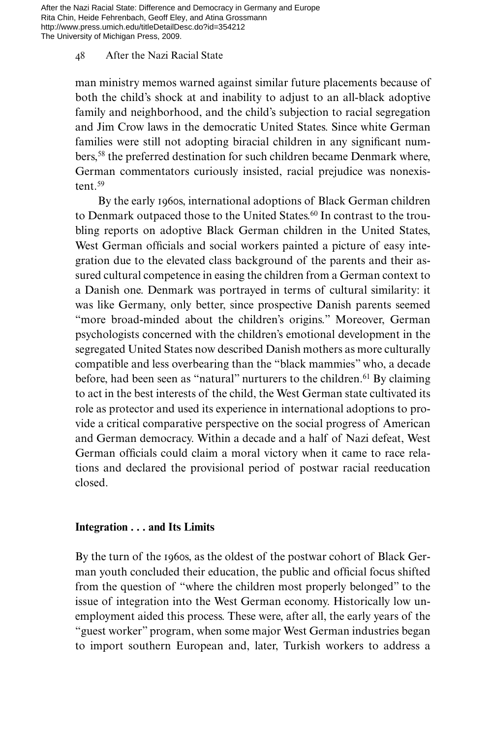#### 48 After the Nazi Racial State

man ministry memos warned against similar future placements because of both the child's shock at and inability to adjust to an all-black adoptive family and neighborhood, and the child's subjection to racial segregation and Jim Crow laws in the democratic United States. Since white German families were still not adopting biracial children in any significant numbers,<sup>58</sup> the preferred destination for such children became Denmark where, German commentators curiously insisted, racial prejudice was nonexistent.<sup>59</sup>

By the early 1960s, international adoptions of Black German children to Denmark outpaced those to the United States.<sup>60</sup> In contrast to the troubling reports on adoptive Black German children in the United States, West German officials and social workers painted a picture of easy integration due to the elevated class background of the parents and their assured cultural competence in easing the children from a German context to a Danish one. Denmark was portrayed in terms of cultural similarity: it was like Germany, only better, since prospective Danish parents seemed "more broad-minded about the children's origins." Moreover, German psychologists concerned with the children's emotional development in the segregated United States now described Danish mothers as more culturally compatible and less overbearing than the "black mammies" who, a decade before, had been seen as "natural" nurturers to the children.<sup>61</sup> By claiming to act in the best interests of the child, the West German state cultivated its role as protector and used its experience in international adoptions to provide a critical comparative perspective on the social progress of American and German democracy. Within a decade and a half of Nazi defeat, West German officials could claim a moral victory when it came to race relations and declared the provisional period of postwar racial reeducation closed.

#### **Integration . . . and Its Limits**

By the turn of the 1960s, as the oldest of the postwar cohort of Black German youth concluded their education, the public and official focus shifted from the question of "where the children most properly belonged" to the issue of integration into the West German economy. Historically low unemployment aided this process. These were, after all, the early years of the "guest worker" program, when some major West German industries began to import southern European and, later, Turkish workers to address a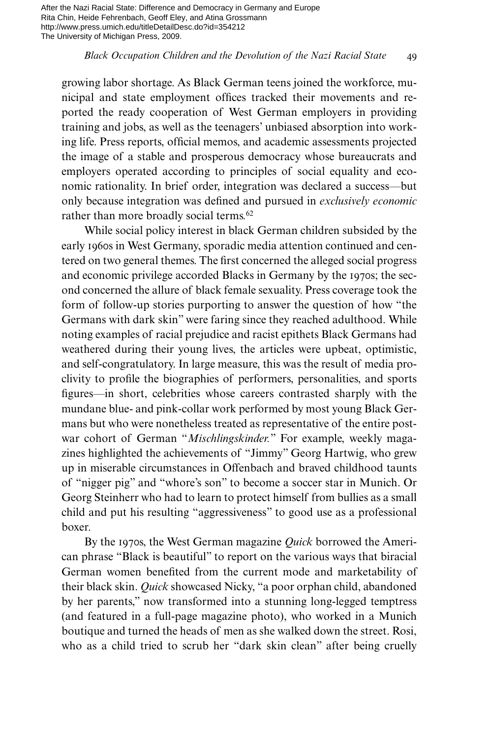growing labor shortage. As Black German teens joined the workforce, municipal and state employment offices tracked their movements and reported the ready cooperation of West German employers in providing training and jobs, as well as the teenagers' unbiased absorption into working life. Press reports, official memos, and academic assessments projected the image of a stable and prosperous democracy whose bureaucrats and employers operated according to principles of social equality and economic rationality. In brief order, integration was declared a success—but only because integration was defined and pursued in *exclusively economic* rather than more broadly social terms.<sup>62</sup>

While social policy interest in black German children subsided by the early 1960s in West Germany, sporadic media attention continued and centered on two general themes. The first concerned the alleged social progress and economic privilege accorded Blacks in Germany by the 1970s; the second concerned the allure of black female sexuality. Press coverage took the form of follow-up stories purporting to answer the question of how "the Germans with dark skin" were faring since they reached adulthood. While noting examples of racial prejudice and racist epithets Black Germans had weathered during their young lives, the articles were upbeat, optimistic, and self-congratulatory. In large measure, this was the result of media proclivity to profile the biographies of performers, personalities, and sports figures—in short, celebrities whose careers contrasted sharply with the mundane blue- and pink-collar work performed by most young Black Germans but who were nonetheless treated as representative of the entire postwar cohort of German "*Mischlingskinder.*" For example, weekly magazines highlighted the achievements of "Jimmy" Georg Hartwig, who grew up in miserable circumstances in Offenbach and braved childhood taunts of "nigger pig" and "whore's son" to become a soccer star in Munich. Or Georg Steinherr who had to learn to protect himself from bullies as a small child and put his resulting "aggressiveness" to good use as a professional boxer.

By the 1970s, the West German magazine *Quick* borrowed the American phrase "Black is beautiful" to report on the various ways that biracial German women benefited from the current mode and marketability of their black skin. *Quick* showcased Nicky, "a poor orphan child, abandoned by her parents," now transformed into a stunning long-legged temptress (and featured in a full-page magazine photo), who worked in a Munich boutique and turned the heads of men as she walked down the street. Rosi, who as a child tried to scrub her "dark skin clean" after being cruelly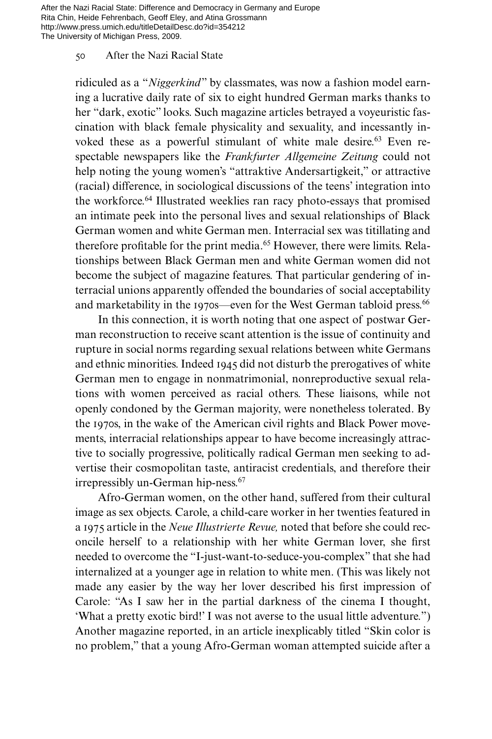## 50 After the Nazi Racial State

ridiculed as a "*Niggerkind*" by classmates, was now a fashion model earning a lucrative daily rate of six to eight hundred German marks thanks to her "dark, exotic" looks. Such magazine articles betrayed a voyeuristic fascination with black female physicality and sexuality, and incessantly invoked these as a powerful stimulant of white male desire.<sup>63</sup> Even respectable newspapers like the *Frankfurter Allgemeine Zeitung* could not help noting the young women's "attraktive Andersartigkeit," or attractive (racial) difference, in sociological discussions of the teens' integration into the workforce.<sup>64</sup> Illustrated weeklies ran racy photo-essays that promised an intimate peek into the personal lives and sexual relationships of Black German women and white German men. Interracial sex was titillating and therefore profitable for the print media.<sup>65</sup> However, there were limits. Relationships between Black German men and white German women did not become the subject of magazine features. That particular gendering of interracial unions apparently offended the boundaries of social acceptability and marketability in the 1970s—even for the West German tabloid press.<sup>66</sup>

In this connection, it is worth noting that one aspect of postwar German reconstruction to receive scant attention is the issue of continuity and rupture in social norms regarding sexual relations between white Germans and ethnic minorities. Indeed 1945 did not disturb the prerogatives of white German men to engage in nonmatrimonial, nonreproductive sexual relations with women perceived as racial others. These liaisons, while not openly condoned by the German majority, were nonetheless tolerated. By the 1970s, in the wake of the American civil rights and Black Power movements, interracial relationships appear to have become increasingly attractive to socially progressive, politically radical German men seeking to advertise their cosmopolitan taste, antiracist credentials, and therefore their irrepressibly un-German hip-ness.<sup>67</sup>

Afro-German women, on the other hand, suffered from their cultural image as sex objects. Carole, a child-care worker in her twenties featured in a 1975 article in the *Neue Illustrierte Revue,* noted that before she could reconcile herself to a relationship with her white German lover, she first needed to overcome the "I-just-want-to-seduce-you-complex" that she had internalized at a younger age in relation to white men. (This was likely not made any easier by the way her lover described his first impression of Carole: "As I saw her in the partial darkness of the cinema I thought, 'What a pretty exotic bird!' I was not averse to the usual little adventure.") Another magazine reported, in an article inexplicably titled "Skin color is no problem," that a young Afro-German woman attempted suicide after a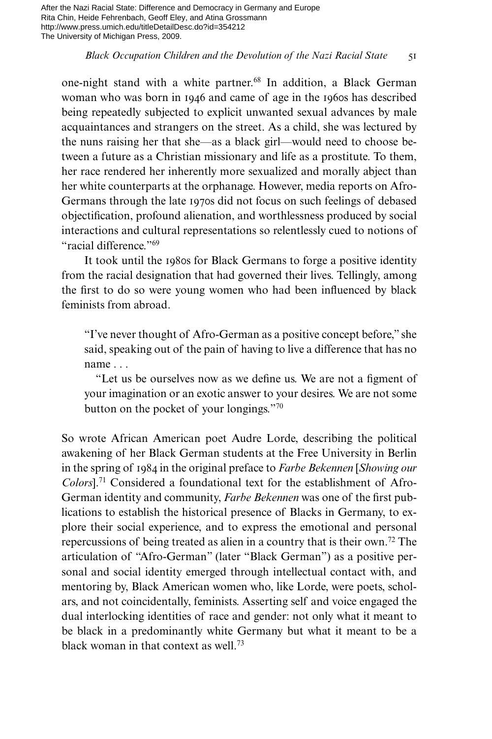one-night stand with a white partner.<sup>68</sup> In addition, a Black German woman who was born in 1946 and came of age in the 1960s has described being repeatedly subjected to explicit unwanted sexual advances by male acquaintances and strangers on the street. As a child, she was lectured by the nuns raising her that she—as a black girl—would need to choose between a future as a Christian missionary and life as a prostitute. To them, her race rendered her inherently more sexualized and morally abject than her white counterparts at the orphanage. However, media reports on Afro-Germans through the late 1970s did not focus on such feelings of debased objectification, profound alienation, and worthlessness produced by social interactions and cultural representations so relentlessly cued to notions of "racial difference"<sup>69</sup>

It took until the 1980s for Black Germans to forge a positive identity from the racial designation that had governed their lives. Tellingly, among the first to do so were young women who had been influenced by black feminists from abroad.

"I've never thought of Afro-German as a positive concept before," she said, speaking out of the pain of having to live a difference that has no name . . .

"Let us be ourselves now as we define us. We are not a figment of your imagination or an exotic answer to your desires. We are not some button on the pocket of your longings."<sup>70</sup>

So wrote African American poet Audre Lorde, describing the political awakening of her Black German students at the Free University in Berlin in the spring of 1984 in the original preface to *Farbe Bekennen* [*Showing our Colors*].<sup>71</sup> Considered a foundational text for the establishment of Afro-German identity and community, *Farbe Bekennen* was one of the first publications to establish the historical presence of Blacks in Germany, to explore their social experience, and to express the emotional and personal repercussions of being treated as alien in a country that is their own.<sup>72</sup> The articulation of "Afro-German" (later "Black German") as a positive personal and social identity emerged through intellectual contact with, and mentoring by, Black American women who, like Lorde, were poets, scholars, and not coincidentally, feminists. Asserting self and voice engaged the dual interlocking identities of race and gender: not only what it meant to be black in a predominantly white Germany but what it meant to be a black woman in that context as well  $^{73}$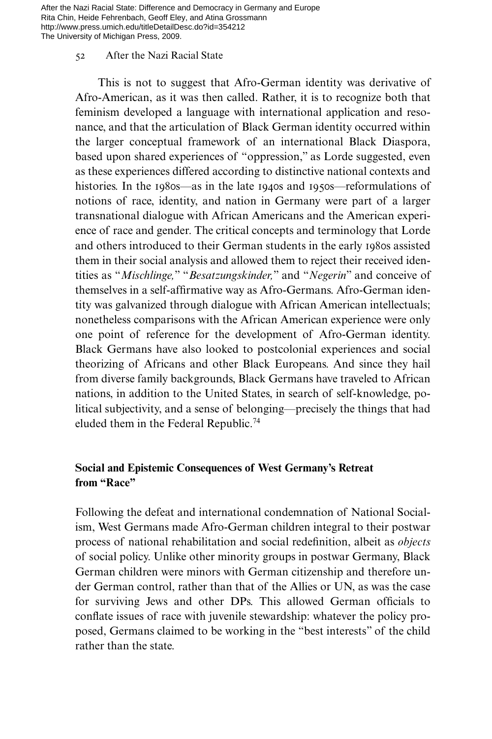## 52 After the Nazi Racial State

This is not to suggest that Afro-German identity was derivative of Afro-American, as it was then called. Rather, it is to recognize both that feminism developed a language with international application and resonance, and that the articulation of Black German identity occurred within the larger conceptual framework of an international Black Diaspora, based upon shared experiences of "oppression," as Lorde suggested, even as these experiences differed according to distinctive national contexts and histories. In the 1980s—as in the late 1940s and 1950s—reformulations of notions of race, identity, and nation in Germany were part of a larger transnational dialogue with African Americans and the American experience of race and gender. The critical concepts and terminology that Lorde and others introduced to their German students in the early 1980s assisted them in their social analysis and allowed them to reject their received identities as "*Mischlinge,*" "*Besatzungskinder,*" and "*Negerin*" and conceive of themselves in a self-affirmative way as Afro-Germans. Afro-German identity was galvanized through dialogue with African American intellectuals; nonetheless comparisons with the African American experience were only one point of reference for the development of Afro-German identity. Black Germans have also looked to postcolonial experiences and social theorizing of Africans and other Black Europeans. And since they hail from diverse family backgrounds, Black Germans have traveled to African nations, in addition to the United States, in search of self-knowledge, political subjectivity, and a sense of belonging—precisely the things that had eluded them in the Federal Republic.<sup>74</sup>

## **Social and Epistemic Consequences of West Germany's Retreat from "Race"**

Following the defeat and international condemnation of National Socialism, West Germans made Afro-German children integral to their postwar process of national rehabilitation and social redefinition, albeit as *objects* of social policy. Unlike other minority groups in postwar Germany, Black German children were minors with German citizenship and therefore under German control, rather than that of the Allies or UN, as was the case for surviving Jews and other DPs. This allowed German officials to conflate issues of race with juvenile stewardship: whatever the policy proposed, Germans claimed to be working in the "best interests" of the child rather than the state.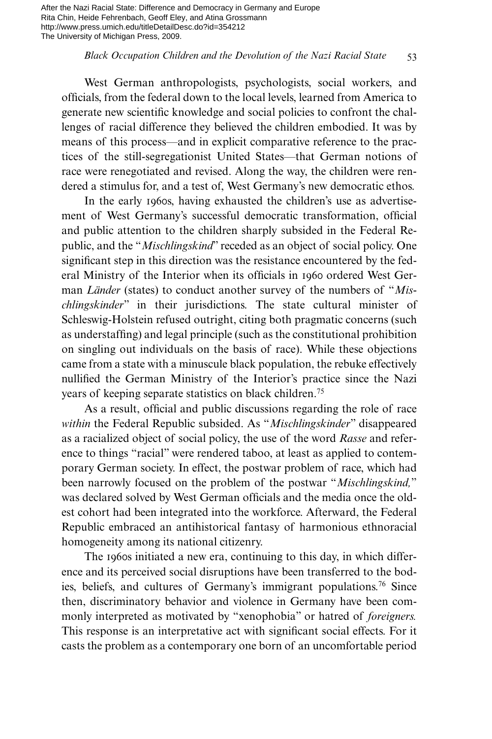West German anthropologists, psychologists, social workers, and officials, from the federal down to the local levels, learned from America to generate new scientific knowledge and social policies to confront the challenges of racial difference they believed the children embodied. It was by means of this process—and in explicit comparative reference to the practices of the still-segregationist United States—that German notions of race were renegotiated and revised. Along the way, the children were rendered a stimulus for, and a test of, West Germany's new democratic ethos.

In the early 1960s, having exhausted the children's use as advertisement of West Germany's successful democratic transformation, official and public attention to the children sharply subsided in the Federal Republic, and the "*Mischlingskind*" receded as an object of social policy. One significant step in this direction was the resistance encountered by the federal Ministry of the Interior when its officials in 1960 ordered West German *Länder* (states) to conduct another survey of the numbers of "*Mischlingskinder*" in their jurisdictions. The state cultural minister of Schleswig-Holstein refused outright, citing both pragmatic concerns (such as understaffing) and legal principle (such as the constitutional prohibition on singling out individuals on the basis of race). While these objections came from a state with a minuscule black population, the rebuke effectively nullified the German Ministry of the Interior's practice since the Nazi years of keeping separate statistics on black children.<sup>75</sup>

As a result, official and public discussions regarding the role of race *within* the Federal Republic subsided. As "*Mischlingskinder*" disappeared as a racialized object of social policy, the use of the word *Rasse* and reference to things "racial" were rendered taboo, at least as applied to contemporary German society. In effect, the postwar problem of race, which had been narrowly focused on the problem of the postwar "*Mischlingskind,*" was declared solved by West German officials and the media once the oldest cohort had been integrated into the workforce. Afterward, the Federal Republic embraced an antihistorical fantasy of harmonious ethnoracial homogeneity among its national citizenry.

The 1960s initiated a new era, continuing to this day, in which difference and its perceived social disruptions have been transferred to the bodies, beliefs, and cultures of Germany's immigrant populations.<sup>76</sup> Since then, discriminatory behavior and violence in Germany have been commonly interpreted as motivated by "xenophobia" or hatred of *foreigners.* This response is an interpretative act with significant social effects. For it casts the problem as a contemporary one born of an uncomfortable period